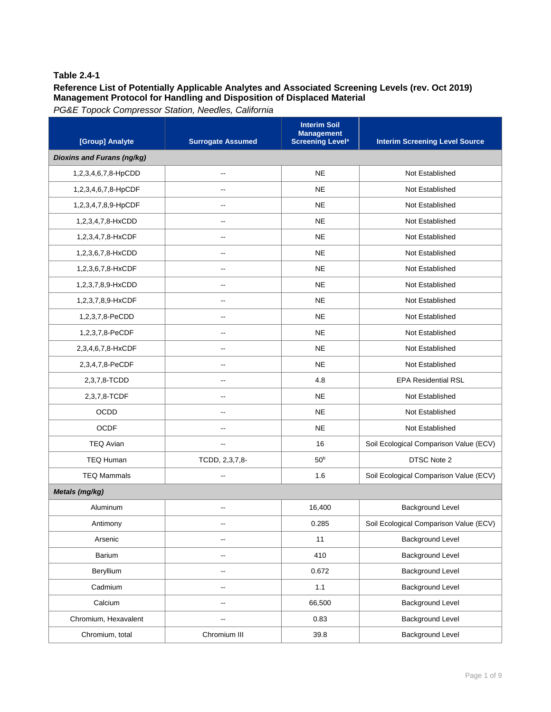## **Reference List of Potentially Applicable Analytes and Associated Screening Levels (rev. Oct 2019) Management Protocol for Handling and Disposition of Displaced Material**

| [Group] Analyte            | <b>Surrogate Assumed</b> | <b>Interim Soil</b><br><b>Management</b><br><b>Screening Level<sup>a</sup></b> | <b>Interim Screening Level Source</b>  |
|----------------------------|--------------------------|--------------------------------------------------------------------------------|----------------------------------------|
| Dioxins and Furans (ng/kg) |                          |                                                                                |                                        |
| 1,2,3,4,6,7,8-HpCDD        | --                       | <b>NE</b>                                                                      | Not Established                        |
| 1,2,3,4,6,7,8-HpCDF        |                          | <b>NE</b>                                                                      | Not Established                        |
| 1,2,3,4,7,8,9-HpCDF        | --                       | <b>NE</b>                                                                      | Not Established                        |
| 1,2,3,4,7,8-HxCDD          |                          | <b>NE</b>                                                                      | Not Established                        |
| 1,2,3,4,7,8-HxCDF          |                          | <b>NE</b>                                                                      | Not Established                        |
| 1,2,3,6,7,8-HxCDD          |                          | <b>NE</b>                                                                      | Not Established                        |
| 1,2,3,6,7,8-HxCDF          | $-$                      | <b>NE</b>                                                                      | Not Established                        |
| 1,2,3,7,8,9-HxCDD          | $\overline{\phantom{a}}$ | <b>NE</b>                                                                      | Not Established                        |
| 1,2,3,7,8,9-HxCDF          | $\overline{\phantom{a}}$ | <b>NE</b>                                                                      | Not Established                        |
| 1,2,3,7,8-PeCDD            | --                       | <b>NE</b>                                                                      | Not Established                        |
| 1,2,3,7,8-PeCDF            | --                       | <b>NE</b>                                                                      | Not Established                        |
| 2,3,4,6,7,8-HxCDF          | $\overline{\phantom{a}}$ | <b>NE</b>                                                                      | Not Established                        |
| 2,3,4,7,8-PeCDF            | $\overline{\phantom{a}}$ | <b>NE</b>                                                                      | Not Established                        |
| 2,3,7,8-TCDD               | $\overline{\phantom{a}}$ | 4.8                                                                            | <b>EPA Residential RSL</b>             |
| 2,3,7,8-TCDF               | --                       | <b>NE</b>                                                                      | Not Established                        |
| <b>OCDD</b>                | --                       | <b>NE</b>                                                                      | Not Established                        |
| <b>OCDF</b>                | --                       | <b>NE</b>                                                                      | Not Established                        |
| <b>TEQ Avian</b>           | $\overline{\phantom{a}}$ | 16                                                                             | Soil Ecological Comparison Value (ECV) |
| <b>TEQ Human</b>           | TCDD, 2,3,7,8-           | 50 <sup>b</sup>                                                                | DTSC Note 2                            |
| <b>TEQ Mammals</b>         | $\overline{a}$           | 1.6                                                                            | Soil Ecological Comparison Value (ECV) |
| Metals (mg/kg)             |                          |                                                                                |                                        |
| Aluminum                   | --                       | 16,400                                                                         | <b>Background Level</b>                |
| Antimony                   |                          | 0.285                                                                          | Soil Ecological Comparison Value (ECV) |
| Arsenic                    | $\overline{a}$           | 11                                                                             | <b>Background Level</b>                |
| Barium                     | $\overline{\phantom{a}}$ | 410                                                                            | <b>Background Level</b>                |
| Beryllium                  | $\overline{\phantom{a}}$ | 0.672                                                                          | <b>Background Level</b>                |
| Cadmium                    | --                       | 1.1                                                                            | <b>Background Level</b>                |
| Calcium                    | $\overline{\phantom{a}}$ | 66,500                                                                         | Background Level                       |
| Chromium, Hexavalent       | $\overline{\phantom{a}}$ | 0.83                                                                           | <b>Background Level</b>                |
| Chromium, total            | Chromium III             | 39.8                                                                           | <b>Background Level</b>                |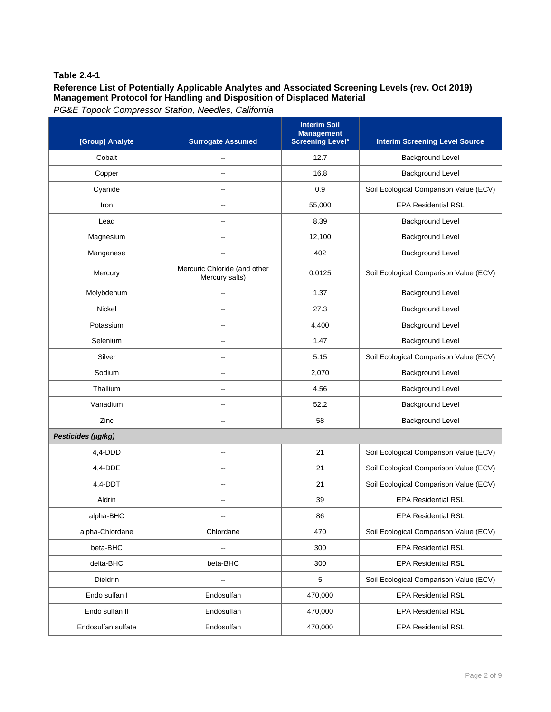# **Reference List of Potentially Applicable Analytes and Associated Screening Levels (rev. Oct 2019) Management Protocol for Handling and Disposition of Displaced Material**

| [Group] Analyte    | <b>Surrogate Assumed</b>                       | <b>Interim Soil</b><br><b>Management</b><br><b>Screening Level<sup>a</sup></b> | <b>Interim Screening Level Source</b>  |
|--------------------|------------------------------------------------|--------------------------------------------------------------------------------|----------------------------------------|
| Cobalt             |                                                | 12.7                                                                           | Background Level                       |
| Copper             |                                                | 16.8                                                                           | <b>Background Level</b>                |
| Cyanide            |                                                | 0.9                                                                            | Soil Ecological Comparison Value (ECV) |
| Iron               | --                                             | 55,000                                                                         | <b>EPA Residential RSL</b>             |
| Lead               | $-$                                            | 8.39                                                                           | <b>Background Level</b>                |
| Magnesium          |                                                | 12,100                                                                         | <b>Background Level</b>                |
| Manganese          |                                                | 402                                                                            | <b>Background Level</b>                |
| Mercury            | Mercuric Chloride (and other<br>Mercury salts) | 0.0125                                                                         | Soil Ecological Comparison Value (ECV) |
| Molybdenum         | $\overline{\phantom{a}}$                       | 1.37                                                                           | <b>Background Level</b>                |
| Nickel             | $\overline{a}$                                 | 27.3                                                                           | Background Level                       |
| Potassium          | $-$                                            | 4,400                                                                          | <b>Background Level</b>                |
| Selenium           |                                                | 1.47                                                                           | <b>Background Level</b>                |
| Silver             | --                                             | 5.15                                                                           | Soil Ecological Comparison Value (ECV) |
| Sodium             | $\overline{a}$                                 | 2,070                                                                          | <b>Background Level</b>                |
| Thallium           |                                                | 4.56                                                                           | <b>Background Level</b>                |
| Vanadium           |                                                | 52.2                                                                           | Background Level                       |
| Zinc               |                                                | 58                                                                             | <b>Background Level</b>                |
| Pesticides (µg/kg) |                                                |                                                                                |                                        |
| $4,4$ -DDD         | --                                             | 21                                                                             | Soil Ecological Comparison Value (ECV) |
| 4,4-DDE            | $-$                                            | 21                                                                             | Soil Ecological Comparison Value (ECV) |
| $4,4$ -DDT         | $\overline{a}$                                 | 21                                                                             | Soil Ecological Comparison Value (ECV) |
| Aldrin             | $\overline{a}$                                 | 39                                                                             | <b>EPA Residential RSL</b>             |
| alpha-BHC          | --                                             | 86                                                                             | <b>EPA Residential RSL</b>             |
| alpha-Chlordane    | Chlordane                                      | 470                                                                            | Soil Ecological Comparison Value (ECV) |
| beta-BHC           | $\overline{\phantom{a}}$                       | 300                                                                            | <b>EPA Residential RSL</b>             |
| delta-BHC          | beta-BHC                                       | 300                                                                            | <b>EPA Residential RSL</b>             |
| Dieldrin           | $\overline{\phantom{a}}$                       | $\,$ 5 $\,$                                                                    | Soil Ecological Comparison Value (ECV) |
| Endo sulfan I      | Endosulfan                                     | 470,000                                                                        | <b>EPA Residential RSL</b>             |
| Endo sulfan II     | Endosulfan                                     | 470,000                                                                        | <b>EPA Residential RSL</b>             |
| Endosulfan sulfate | Endosulfan                                     | 470,000                                                                        | <b>EPA Residential RSL</b>             |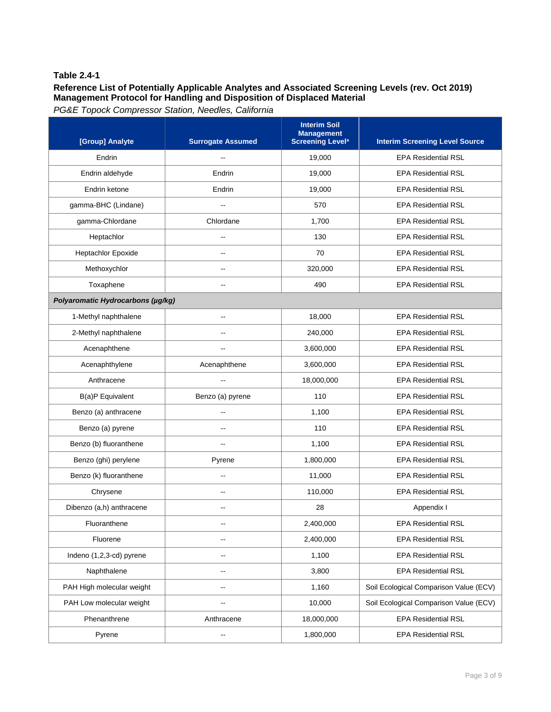# **Reference List of Potentially Applicable Analytes and Associated Screening Levels (rev. Oct 2019) Management Protocol for Handling and Disposition of Displaced Material**

| [Group] Analyte                   | <b>Surrogate Assumed</b> | <b>Interim Soil</b><br><b>Management</b><br><b>Screening Level<sup>a</sup></b> | <b>Interim Screening Level Source</b>  |
|-----------------------------------|--------------------------|--------------------------------------------------------------------------------|----------------------------------------|
| Endrin                            |                          | 19,000                                                                         | <b>EPA Residential RSL</b>             |
| Endrin aldehyde                   | Endrin                   | 19,000                                                                         | <b>EPA Residential RSL</b>             |
| Endrin ketone                     | Endrin                   | 19,000                                                                         | <b>EPA Residential RSL</b>             |
| gamma-BHC (Lindane)               |                          | 570                                                                            | <b>EPA Residential RSL</b>             |
| gamma-Chlordane                   | Chlordane                | 1.700                                                                          | <b>EPA Residential RSL</b>             |
| Heptachlor                        |                          | 130                                                                            | <b>EPA Residential RSL</b>             |
| Heptachlor Epoxide                |                          | 70                                                                             | <b>EPA Residential RSL</b>             |
| Methoxychlor                      | $\overline{a}$           | 320,000                                                                        | <b>EPA Residential RSL</b>             |
| Toxaphene                         | $\overline{a}$           | 490                                                                            | <b>EPA Residential RSL</b>             |
| Polyaromatic Hydrocarbons (µg/kg) |                          |                                                                                |                                        |
| 1-Methyl naphthalene              | --                       | 18,000                                                                         | <b>EPA Residential RSL</b>             |
| 2-Methyl naphthalene              | --                       | 240,000                                                                        | <b>EPA Residential RSL</b>             |
| Acenaphthene                      | $\overline{\phantom{a}}$ | 3,600,000                                                                      | <b>EPA Residential RSL</b>             |
| Acenaphthylene                    | Acenaphthene             | 3,600,000                                                                      | <b>EPA Residential RSL</b>             |
| Anthracene                        |                          | 18,000,000                                                                     | <b>EPA Residential RSL</b>             |
| B(a)P Equivalent                  | Benzo (a) pyrene         | 110                                                                            | <b>EPA Residential RSL</b>             |
| Benzo (a) anthracene              | $\mathbf{u}$             | 1,100                                                                          | <b>EPA Residential RSL</b>             |
| Benzo (a) pyrene                  | $\overline{a}$           | 110                                                                            | <b>EPA Residential RSL</b>             |
| Benzo (b) fluoranthene            | $\overline{\phantom{a}}$ | 1,100                                                                          | <b>EPA Residential RSL</b>             |
| Benzo (ghi) perylene              | Pyrene                   | 1,800,000                                                                      | <b>EPA Residential RSL</b>             |
| Benzo (k) fluoranthene            | $\overline{\phantom{a}}$ | 11,000                                                                         | <b>EPA Residential RSL</b>             |
| Chrysene                          | $-$                      | 110,000                                                                        | <b>EPA Residential RSL</b>             |
| Dibenzo (a,h) anthracene          |                          | 28                                                                             | Appendix I                             |
| Fluoranthene                      |                          | 2,400,000                                                                      | <b>EPA Residential RSL</b>             |
| Fluorene                          |                          | 2,400,000                                                                      | <b>EPA Residential RSL</b>             |
| Indeno (1,2,3-cd) pyrene          |                          | 1,100                                                                          | <b>EPA Residential RSL</b>             |
| Naphthalene                       | $-$                      | 3,800                                                                          | <b>EPA Residential RSL</b>             |
| PAH High molecular weight         | --                       | 1,160                                                                          | Soil Ecological Comparison Value (ECV) |
| PAH Low molecular weight          |                          | 10,000                                                                         | Soil Ecological Comparison Value (ECV) |
| Phenanthrene                      | Anthracene               | 18,000,000                                                                     | <b>EPA Residential RSL</b>             |
| Pyrene                            | ۰.                       | 1,800,000                                                                      | <b>EPA Residential RSL</b>             |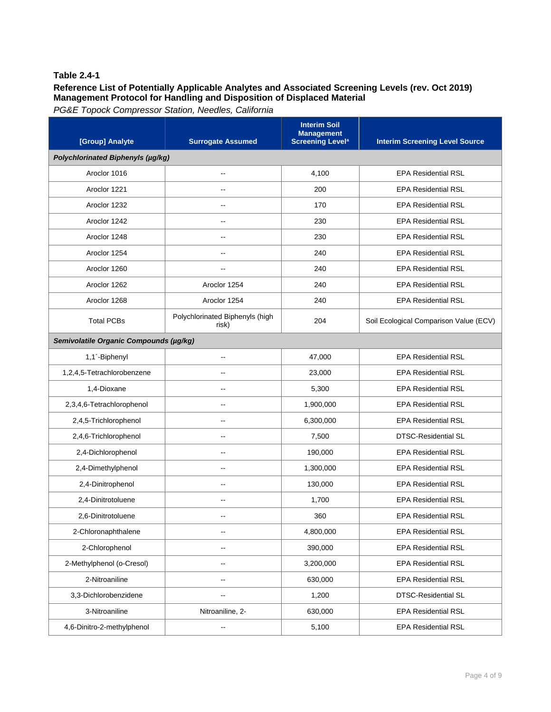### **Reference List of Potentially Applicable Analytes and Associated Screening Levels (rev. Oct 2019) Management Protocol for Handling and Disposition of Displaced Material**

| [Group] Analyte                        | <b>Surrogate Assumed</b>                 | <b>Interim Soil</b><br><b>Management</b><br><b>Screening Level<sup>a</sup></b> | <b>Interim Screening Level Source</b>  |  |
|----------------------------------------|------------------------------------------|--------------------------------------------------------------------------------|----------------------------------------|--|
| Polychlorinated Biphenyls (µg/kg)      |                                          |                                                                                |                                        |  |
| Aroclor 1016                           | --                                       | 4,100                                                                          | <b>EPA Residential RSL</b>             |  |
| Aroclor 1221                           | --                                       | 200                                                                            | <b>EPA Residential RSL</b>             |  |
| Aroclor 1232                           |                                          | 170                                                                            | <b>EPA Residential RSL</b>             |  |
| Aroclor 1242                           | --                                       | 230                                                                            | <b>EPA Residential RSL</b>             |  |
| Aroclor 1248                           |                                          | 230                                                                            | <b>EPA Residential RSL</b>             |  |
| Aroclor 1254                           | --                                       | 240                                                                            | <b>EPA Residential RSL</b>             |  |
| Aroclor 1260                           | $-1$                                     | 240                                                                            | <b>EPA Residential RSL</b>             |  |
| Aroclor 1262                           | Aroclor 1254                             | 240                                                                            | <b>EPA Residential RSL</b>             |  |
| Aroclor 1268                           | Aroclor 1254                             | 240                                                                            | <b>EPA Residential RSL</b>             |  |
| <b>Total PCBs</b>                      | Polychlorinated Biphenyls (high<br>risk) | 204                                                                            | Soil Ecological Comparison Value (ECV) |  |
| Semivolatile Organic Compounds (µg/kg) |                                          |                                                                                |                                        |  |
| 1,1'-Biphenyl                          | $\overline{a}$                           | 47,000                                                                         | <b>EPA Residential RSL</b>             |  |
| 1,2,4,5-Tetrachlorobenzene             | --                                       | 23,000                                                                         | <b>EPA Residential RSL</b>             |  |
| 1,4-Dioxane                            | ۵.                                       | 5,300                                                                          | <b>EPA Residential RSL</b>             |  |
| 2,3,4,6-Tetrachlorophenol              |                                          | 1,900,000                                                                      | <b>EPA Residential RSL</b>             |  |
| 2,4,5-Trichlorophenol                  |                                          | 6,300,000                                                                      | <b>EPA Residential RSL</b>             |  |
| 2,4,6-Trichlorophenol                  | --                                       | 7,500                                                                          | <b>DTSC-Residential SL</b>             |  |
| 2,4-Dichlorophenol                     | $-$                                      | 190,000                                                                        | <b>EPA Residential RSL</b>             |  |
| 2,4-Dimethylphenol                     | --                                       | 1,300,000                                                                      | <b>EPA Residential RSL</b>             |  |
| 2,4-Dinitrophenol                      | $-$                                      | 130,000                                                                        | <b>EPA Residential RSL</b>             |  |
| 2,4-Dinitrotoluene                     | --                                       | 1,700                                                                          | <b>EPA Residential RSL</b>             |  |
| 2,6-Dinitrotoluene                     | $\overline{a}$                           | 360                                                                            | <b>EPA Residential RSL</b>             |  |
| 2-Chloronaphthalene                    | --                                       | 4,800,000                                                                      | <b>EPA Residential RSL</b>             |  |
| 2-Chlorophenol                         | --                                       | 390,000                                                                        | <b>EPA Residential RSL</b>             |  |
| 2-Methylphenol (o-Cresol)              | --                                       | 3,200,000                                                                      | <b>EPA Residential RSL</b>             |  |
| 2-Nitroaniline                         | --                                       | 630,000                                                                        | <b>EPA Residential RSL</b>             |  |
| 3,3-Dichlorobenzidene                  |                                          | 1,200                                                                          | <b>DTSC-Residential SL</b>             |  |
| 3-Nitroaniline                         | Nitroaniline, 2-                         | 630,000                                                                        | <b>EPA Residential RSL</b>             |  |
| 4,6-Dinitro-2-methylphenol             | --                                       | 5,100                                                                          | <b>EPA Residential RSL</b>             |  |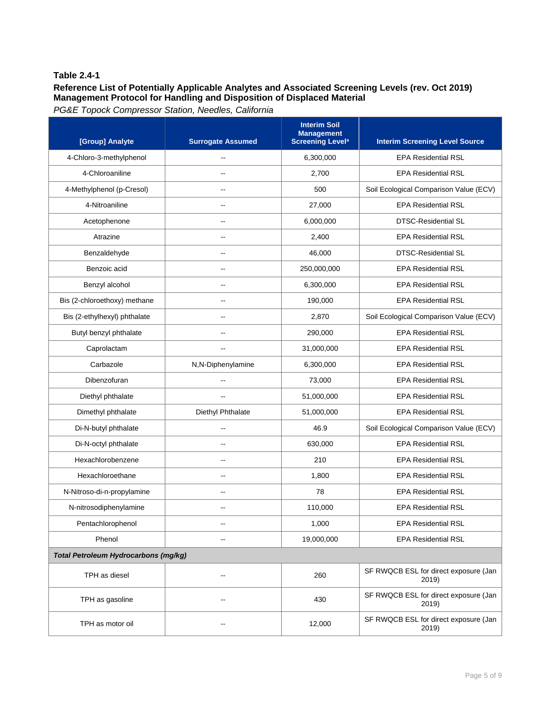# **Reference List of Potentially Applicable Analytes and Associated Screening Levels (rev. Oct 2019) Management Protocol for Handling and Disposition of Displaced Material**

| [Group] Analyte                             | <b>Surrogate Assumed</b> | <b>Interim Soil</b><br><b>Management</b><br><b>Screening Level<sup>a</sup></b> | <b>Interim Screening Level Source</b>          |
|---------------------------------------------|--------------------------|--------------------------------------------------------------------------------|------------------------------------------------|
| 4-Chloro-3-methylphenol                     |                          | 6,300,000                                                                      | <b>EPA Residential RSL</b>                     |
| 4-Chloroaniline                             |                          | 2,700                                                                          | <b>EPA Residential RSL</b>                     |
| 4-Methylphenol (p-Cresol)                   |                          | 500                                                                            | Soil Ecological Comparison Value (ECV)         |
| 4-Nitroaniline                              | --                       | 27,000                                                                         | <b>EPA Residential RSL</b>                     |
| Acetophenone                                |                          | 6,000,000                                                                      | <b>DTSC-Residential SL</b>                     |
| Atrazine                                    |                          | 2,400                                                                          | <b>EPA Residential RSL</b>                     |
| Benzaldehyde                                |                          | 46,000                                                                         | <b>DTSC-Residential SL</b>                     |
| Benzoic acid                                | --                       | 250,000,000                                                                    | <b>EPA Residential RSL</b>                     |
| Benzyl alcohol                              | --                       | 6,300,000                                                                      | <b>EPA Residential RSL</b>                     |
| Bis (2-chloroethoxy) methane                | --                       | 190,000                                                                        | <b>EPA Residential RSL</b>                     |
| Bis (2-ethylhexyl) phthalate                | --                       | 2,870                                                                          | Soil Ecological Comparison Value (ECV)         |
| Butyl benzyl phthalate                      | --                       | 290,000                                                                        | <b>EPA Residential RSL</b>                     |
| Caprolactam                                 | $\overline{a}$           | 31,000,000                                                                     | <b>EPA Residential RSL</b>                     |
| Carbazole                                   | N,N-Diphenylamine        | 6,300,000                                                                      | <b>EPA Residential RSL</b>                     |
| Dibenzofuran                                | --                       | 73,000                                                                         | <b>EPA Residential RSL</b>                     |
| Diethyl phthalate                           |                          | 51,000,000                                                                     | <b>EPA Residential RSL</b>                     |
| Dimethyl phthalate                          | Diethyl Phthalate        | 51,000,000                                                                     | <b>EPA Residential RSL</b>                     |
| Di-N-butyl phthalate                        |                          | 46.9                                                                           | Soil Ecological Comparison Value (ECV)         |
| Di-N-octyl phthalate                        | --                       | 630,000                                                                        | <b>EPA Residential RSL</b>                     |
| Hexachlorobenzene                           | --                       | 210                                                                            | <b>EPA Residential RSL</b>                     |
| Hexachloroethane                            | Щ,                       | 1,800                                                                          | <b>EPA Residential RSL</b>                     |
| N-Nitroso-di-n-propylamine                  | --                       | 78                                                                             | <b>EPA Residential RSL</b>                     |
| N-nitrosodiphenylamine                      | --                       | 110,000                                                                        | <b>EPA Residential RSL</b>                     |
| Pentachlorophenol                           |                          | 1,000                                                                          | <b>EPA Residential RSL</b>                     |
| Phenol                                      | --                       | 19,000,000                                                                     | <b>EPA Residential RSL</b>                     |
| <b>Total Petroleum Hydrocarbons (mg/kg)</b> |                          |                                                                                |                                                |
| TPH as diesel                               |                          | 260                                                                            | SF RWQCB ESL for direct exposure (Jan<br>2019) |
| TPH as gasoline                             |                          | 430                                                                            | SF RWQCB ESL for direct exposure (Jan<br>2019) |
| TPH as motor oil                            |                          | 12,000                                                                         | SF RWQCB ESL for direct exposure (Jan<br>2019) |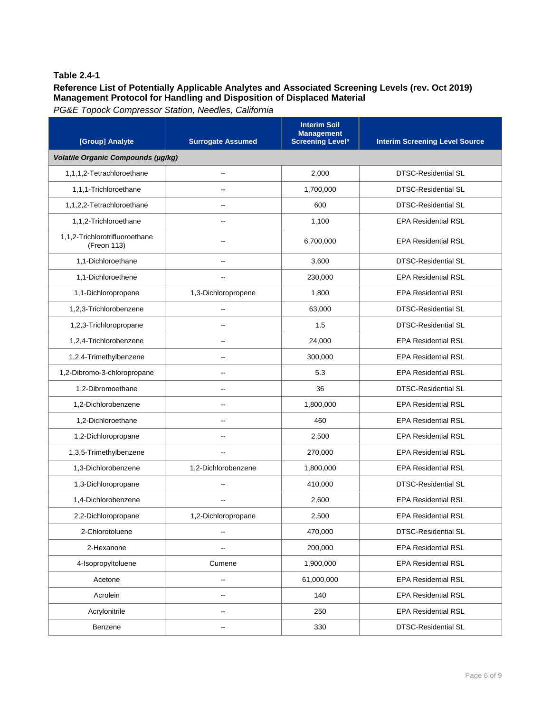### **Reference List of Potentially Applicable Analytes and Associated Screening Levels (rev. Oct 2019) Management Protocol for Handling and Disposition of Displaced Material**

| [Group] Analyte                               | <b>Surrogate Assumed</b> | <b>Interim Soil</b><br><b>Management</b><br><b>Screening Level<sup>a</sup></b> | <b>Interim Screening Level Source</b> |
|-----------------------------------------------|--------------------------|--------------------------------------------------------------------------------|---------------------------------------|
| Volatile Organic Compounds (µg/kg)            |                          |                                                                                |                                       |
| 1,1,1,2-Tetrachloroethane                     | --                       | 2,000                                                                          | <b>DTSC-Residential SL</b>            |
| 1,1,1-Trichloroethane                         |                          | 1,700,000                                                                      | <b>DTSC-Residential SL</b>            |
| 1,1,2,2-Tetrachloroethane                     | $\overline{a}$           | 600                                                                            | <b>DTSC-Residential SL</b>            |
| 1,1,2-Trichloroethane                         |                          | 1,100                                                                          | <b>EPA Residential RSL</b>            |
| 1,1,2-Trichlorotrifluoroethane<br>(Freon 113) |                          | 6,700,000                                                                      | <b>EPA Residential RSL</b>            |
| 1,1-Dichloroethane                            |                          | 3,600                                                                          | <b>DTSC-Residential SL</b>            |
| 1,1-Dichloroethene                            |                          | 230,000                                                                        | <b>EPA Residential RSL</b>            |
| 1,1-Dichloropropene                           | 1,3-Dichloropropene      | 1,800                                                                          | <b>EPA Residential RSL</b>            |
| 1,2,3-Trichlorobenzene                        | $\overline{a}$           | 63,000                                                                         | <b>DTSC-Residential SL</b>            |
| 1,2,3-Trichloropropane                        | $-$                      | 1.5                                                                            | DTSC-Residential SL                   |
| 1,2,4-Trichlorobenzene                        |                          | 24,000                                                                         | <b>EPA Residential RSL</b>            |
| 1,2,4-Trimethylbenzene                        | --                       | 300,000                                                                        | <b>EPA Residential RSL</b>            |
| 1,2-Dibromo-3-chloropropane                   | --                       | 5.3                                                                            | <b>EPA Residential RSL</b>            |
| 1,2-Dibromoethane                             |                          | 36                                                                             | <b>DTSC-Residential SL</b>            |
| 1,2-Dichlorobenzene                           |                          | 1,800,000                                                                      | <b>EPA Residential RSL</b>            |
| 1,2-Dichloroethane                            |                          | 460                                                                            | <b>EPA Residential RSL</b>            |
| 1,2-Dichloropropane                           |                          | 2,500                                                                          | <b>EPA Residential RSL</b>            |
| 1,3,5-Trimethylbenzene                        |                          | 270,000                                                                        | <b>EPA Residential RSL</b>            |
| 1,3-Dichlorobenzene                           | 1,2-Dichlorobenzene      | 1,800,000                                                                      | <b>EPA Residential RSL</b>            |
| 1,3-Dichloropropane                           |                          | 410,000                                                                        | <b>DTSC-Residential SL</b>            |
| 1,4-Dichlorobenzene                           |                          | 2,600                                                                          | <b>EPA Residential RSL</b>            |
| 2,2-Dichloropropane                           | 1,2-Dichloropropane      | 2,500                                                                          | <b>EPA Residential RSL</b>            |
| 2-Chlorotoluene                               | $\overline{\phantom{a}}$ | 470,000                                                                        | DTSC-Residential SL                   |
| 2-Hexanone                                    | --                       | 200,000                                                                        | <b>EPA Residential RSL</b>            |
| 4-Isopropyltoluene                            | Cumene                   | 1,900,000                                                                      | <b>EPA Residential RSL</b>            |
| Acetone                                       | $\overline{\phantom{a}}$ | 61,000,000                                                                     | <b>EPA Residential RSL</b>            |
| Acrolein                                      |                          | 140                                                                            | <b>EPA Residential RSL</b>            |
| Acrylonitrile                                 | -−                       | 250                                                                            | <b>EPA Residential RSL</b>            |
| Benzene                                       | --                       | 330                                                                            | DTSC-Residential SL                   |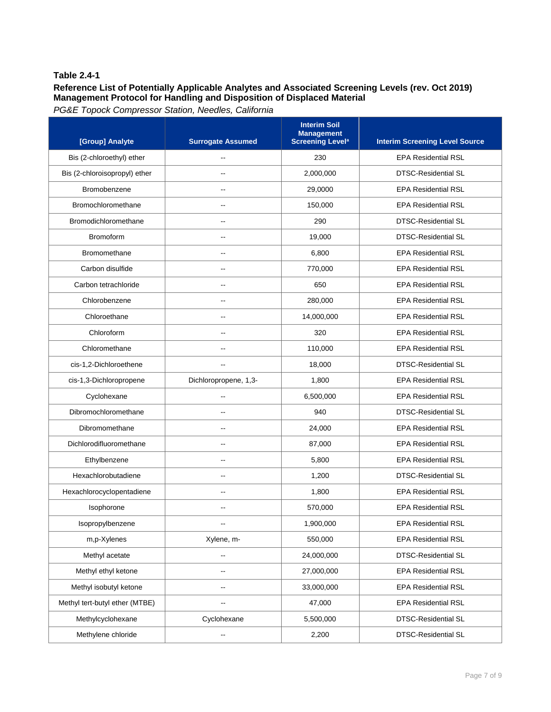# **Reference List of Potentially Applicable Analytes and Associated Screening Levels (rev. Oct 2019) Management Protocol for Handling and Disposition of Displaced Material**

| [Group] Analyte                | <b>Surrogate Assumed</b> | <b>Interim Soil</b><br><b>Management</b><br><b>Screening Level<sup>a</sup></b> | <b>Interim Screening Level Source</b> |
|--------------------------------|--------------------------|--------------------------------------------------------------------------------|---------------------------------------|
| Bis (2-chloroethyl) ether      |                          | 230                                                                            | <b>EPA Residential RSL</b>            |
| Bis (2-chloroisopropyl) ether  |                          | 2,000,000                                                                      | <b>DTSC-Residential SL</b>            |
| Bromobenzene                   |                          | 29,0000                                                                        | <b>EPA Residential RSL</b>            |
| Bromochloromethane             |                          | 150,000                                                                        | <b>EPA Residential RSL</b>            |
| Bromodichloromethane           |                          | 290                                                                            | <b>DTSC-Residential SL</b>            |
| <b>Bromoform</b>               | --                       | 19,000                                                                         | <b>DTSC-Residential SL</b>            |
| Bromomethane                   | $\overline{a}$           | 6,800                                                                          | <b>EPA Residential RSL</b>            |
| Carbon disulfide               |                          | 770,000                                                                        | <b>EPA Residential RSL</b>            |
| Carbon tetrachloride           | --                       | 650                                                                            | <b>EPA Residential RSL</b>            |
| Chlorobenzene                  | --                       | 280,000                                                                        | <b>EPA Residential RSL</b>            |
| Chloroethane                   | $\overline{a}$           | 14,000,000                                                                     | <b>EPA Residential RSL</b>            |
| Chloroform                     | --                       | 320                                                                            | <b>EPA Residential RSL</b>            |
| Chloromethane                  |                          | 110,000                                                                        | <b>EPA Residential RSL</b>            |
| cis-1,2-Dichloroethene         |                          | 18,000                                                                         | <b>DTSC-Residential SL</b>            |
| cis-1,3-Dichloropropene        | Dichloropropene, 1,3-    | 1,800                                                                          | <b>EPA Residential RSL</b>            |
| Cyclohexane                    | $\overline{a}$           | 6,500,000                                                                      | <b>EPA Residential RSL</b>            |
| Dibromochloromethane           | $-$                      | 940                                                                            | <b>DTSC-Residential SL</b>            |
| Dibromomethane                 |                          | 24,000                                                                         | <b>EPA Residential RSL</b>            |
| Dichlorodifluoromethane        | --                       | 87,000                                                                         | <b>EPA Residential RSL</b>            |
| Ethylbenzene                   |                          | 5,800                                                                          | <b>EPA Residential RSL</b>            |
| Hexachlorobutadiene            | $-$                      | 1,200                                                                          | <b>DTSC-Residential SL</b>            |
| Hexachlorocyclopentadiene      | --                       | 1,800                                                                          | <b>EPA Residential RSL</b>            |
| Isophorone                     |                          | 570,000                                                                        | <b>EPA Residential RSL</b>            |
| Isopropylbenzene               |                          | 1,900,000                                                                      | <b>EPA Residential RSL</b>            |
| m,p-Xylenes                    | Xylene, m-               | 550,000                                                                        | <b>EPA Residential RSL</b>            |
| Methyl acetate                 | --                       | 24,000,000                                                                     | DTSC-Residential SL                   |
| Methyl ethyl ketone            | --                       | 27,000,000                                                                     | <b>EPA Residential RSL</b>            |
| Methyl isobutyl ketone         | --                       | 33,000,000                                                                     | <b>EPA Residential RSL</b>            |
| Methyl tert-butyl ether (MTBE) |                          | 47,000                                                                         | <b>EPA Residential RSL</b>            |
| Methylcyclohexane              | Cyclohexane              | 5,500,000                                                                      | DTSC-Residential SL                   |
| Methylene chloride             | -−                       | 2,200                                                                          | DTSC-Residential SL                   |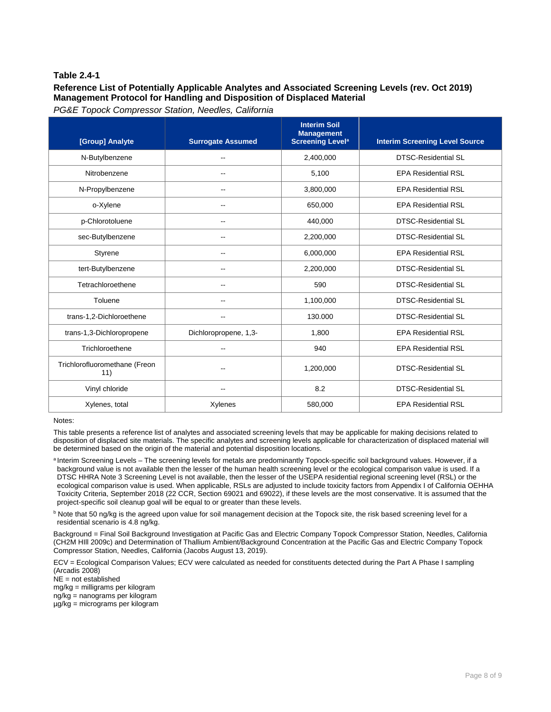### **Reference List of Potentially Applicable Analytes and Associated Screening Levels (rev. Oct 2019) Management Protocol for Handling and Disposition of Displaced Material**

*PG&E Topock Compressor Station, Needles, California* 

| [Group] Analyte                      | <b>Surrogate Assumed</b> | <b>Interim Soil</b><br><b>Management</b><br><b>Screening Level<sup>a</sup></b> | <b>Interim Screening Level Source</b> |
|--------------------------------------|--------------------------|--------------------------------------------------------------------------------|---------------------------------------|
| N-Butylbenzene                       |                          | 2,400,000                                                                      | <b>DTSC-Residential SL</b>            |
| Nitrobenzene                         | $-$                      | 5,100                                                                          | <b>EPA Residential RSL</b>            |
| N-Propylbenzene                      | $\overline{\phantom{a}}$ | 3,800,000                                                                      | <b>EPA Residential RSL</b>            |
| o-Xylene                             | $\overline{\phantom{a}}$ | 650,000                                                                        | <b>EPA Residential RSL</b>            |
| p-Chlorotoluene                      | $\overline{\phantom{a}}$ | 440,000                                                                        | <b>DTSC-Residential SL</b>            |
| sec-Butylbenzene                     | $\overline{\phantom{a}}$ | 2,200,000                                                                      | <b>DTSC-Residential SL</b>            |
| Styrene                              | $\overline{a}$           | 6,000,000                                                                      | <b>EPA Residential RSL</b>            |
| tert-Butylbenzene                    | $\sim$                   | 2,200,000                                                                      | <b>DTSC-Residential SL</b>            |
| Tetrachloroethene                    | $-$                      | 590                                                                            | <b>DTSC-Residential SL</b>            |
| Toluene                              | $-$                      | 1,100,000                                                                      | <b>DTSC-Residential SL</b>            |
| trans-1,2-Dichloroethene             | $-$                      | 130.000                                                                        | <b>DTSC-Residential SL</b>            |
| trans-1,3-Dichloropropene            | Dichloropropene, 1,3-    | 1,800                                                                          | <b>EPA Residential RSL</b>            |
| Trichloroethene                      | $\overline{\phantom{a}}$ | 940                                                                            | <b>EPA Residential RSL</b>            |
| Trichlorofluoromethane (Freon<br>11) |                          | 1,200,000                                                                      | <b>DTSC-Residential SL</b>            |
| Vinyl chloride                       |                          | 8.2                                                                            | <b>DTSC-Residential SL</b>            |
| Xylenes, total                       | Xylenes                  | 580,000                                                                        | <b>EPA Residential RSL</b>            |

Notes:

This table presents a reference list of analytes and associated screening levels that may be applicable for making decisions related to disposition of displaced site materials. The specific analytes and screening levels applicable for characterization of displaced material will be determined based on the origin of the material and potential disposition locations.

a Interim Screening Levels – The screening levels for metals are predominantly Topock-specific soil background values. However, if a background value is not available then the lesser of the human health screening level or the ecological comparison value is used. If a DTSC HHRA Note 3 Screening Level is not available, then the lesser of the USEPA residential regional screening level (RSL) or the ecological comparison value is used. When applicable, RSLs are adjusted to include toxicity factors from Appendix I of California OEHHA Toxicity Criteria, September 2018 (22 CCR, Section 69021 and 69022), if these levels are the most conservative. It is assumed that the project-specific soil cleanup goal will be equal to or greater than these levels.

**b** Note that 50 ng/kg is the agreed upon value for soil management decision at the Topock site, the risk based screening level for a residential scenario is 4.8 ng/kg.

Background = Final Soil Background Investigation at Pacific Gas and Electric Company Topock Compressor Station, Needles, California (CH2M HIll 2009c) and Determination of Thallium Ambient/Background Concentration at the Pacific Gas and Electric Company Topock Compressor Station, Needles, California (Jacobs August 13, 2019).

ECV = Ecological Comparison Values; ECV were calculated as needed for constituents detected during the Part A Phase I sampling (Arcadis 2008)

NE = not established

mg/kg = milligrams per kilogram

ng/kg = nanograms per kilogram

µg/kg = micrograms per kilogram